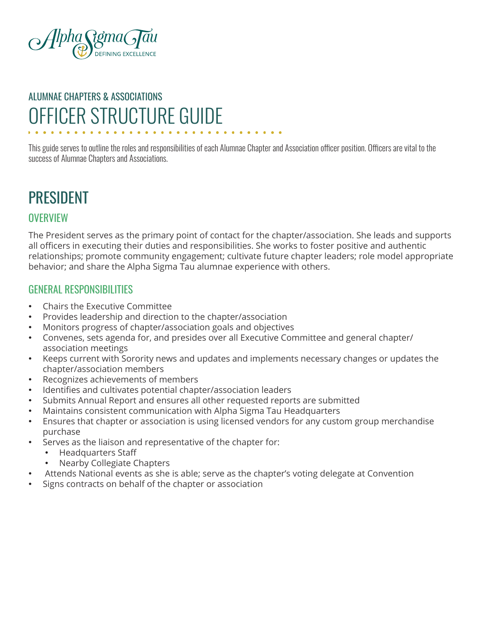

# OFFICER STRUCTURE GUIDE ALUMNAE CHAPTERS & ASSOCIATIONS

This guide serves to outline the roles and responsibilities of each Alumnae Chapter and Association officer position. Officers are vital to the success of Alumnae Chapters and Associations.

## PRESIDENT

#### **OVERVIEW**

The President serves as the primary point of contact for the chapter/association. She leads and supports all officers in executing their duties and responsibilities. She works to foster positive and authentic relationships; promote community engagement; cultivate future chapter leaders; role model appropriate behavior; and share the Alpha Sigma Tau alumnae experience with others.

- Chairs the Executive Committee
- Provides leadership and direction to the chapter/association
- Monitors progress of chapter/association goals and objectives
- Convenes, sets agenda for, and presides over all Executive Committee and general chapter/ association meetings
- Keeps current with Sorority news and updates and implements necessary changes or updates the chapter/association members
- Recognizes achievements of members
- Identifies and cultivates potential chapter/association leaders
- Submits Annual Report and ensures all other requested reports are submitted
- Maintains consistent communication with Alpha Sigma Tau Headquarters
- Ensures that chapter or association is using licensed vendors for any custom group merchandise purchase
- Serves as the liaison and representative of the chapter for:
	- Headquarters Staff
- Nearby Collegiate Chapters
- Attends National events as she is able; serve as the chapter's voting delegate at Convention
- Signs contracts on behalf of the chapter or association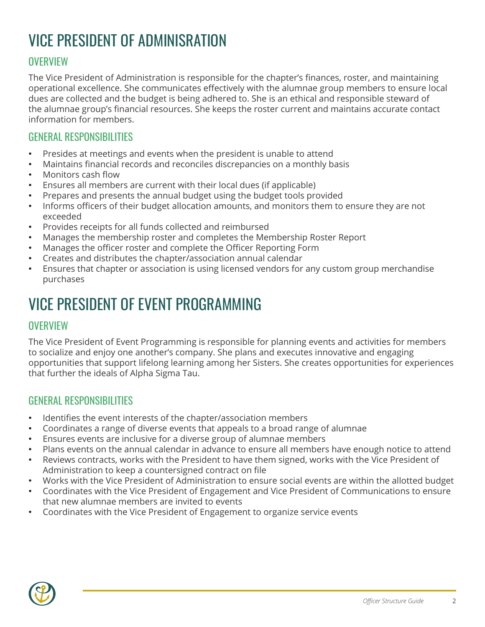# VICE PRESIDENT OF ADMINISRATION

### **OVERVIEW**

The Vice President of Administration is responsible for the chapter's finances, roster, and maintaining operational excellence. She communicates effectively with the alumnae group members to ensure local dues are collected and the budget is being adhered to. She is an ethical and responsible steward of the alumnae group's financial resources. She keeps the roster current and maintains accurate contact information for members.

#### GENERAL RESPONSIBILITIES

- Presides at meetings and events when the president is unable to attend
- Maintains financial records and reconciles discrepancies on a monthly basis
- Monitors cash flow
- Ensures all members are current with their local dues (if applicable)
- Prepares and presents the annual budget using the budget tools provided
- Informs officers of their budget allocation amounts, and monitors them to ensure they are not exceeded
- Provides receipts for all funds collected and reimbursed
- Manages the membership roster and completes the Membership Roster Report
- Manages the officer roster and complete the Officer Reporting Form
- Creates and distributes the chapter/association annual calendar
- Ensures that chapter or association is using licensed vendors for any custom group merchandise purchases

## VICE PRESIDENT OF EVENT PROGRAMMING

#### **OVERVIEW**

The Vice President of Event Programming is responsible for planning events and activities for members to socialize and enjoy one another's company. She plans and executes innovative and engaging opportunities that support lifelong learning among her Sisters. She creates opportunities for experiences that further the ideals of Alpha Sigma Tau.

- Identifies the event interests of the chapter/association members
- Coordinates a range of diverse events that appeals to a broad range of alumnae
- Ensures events are inclusive for a diverse group of alumnae members
- Plans events on the annual calendar in advance to ensure all members have enough notice to attend
- Reviews contracts, works with the President to have them signed, works with the Vice President of Administration to keep a countersigned contract on file
- Works with the Vice President of Administration to ensure social events are within the allotted budget
- Coordinates with the Vice President of Engagement and Vice President of Communications to ensure that new alumnae members are invited to events
- Coordinates with the Vice President of Engagement to organize service events

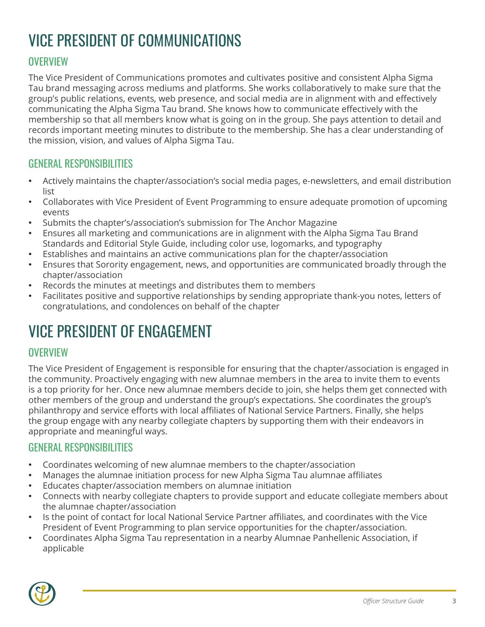# VICE PRESIDENT OF COMMUNICATIONS

### **OVERVIEW**

The Vice President of Communications promotes and cultivates positive and consistent Alpha Sigma Tau brand messaging across mediums and platforms. She works collaboratively to make sure that the group's public relations, events, web presence, and social media are in alignment with and effectively communicating the Alpha Sigma Tau brand. She knows how to communicate effectively with the membership so that all members know what is going on in the group. She pays attention to detail and records important meeting minutes to distribute to the membership. She has a clear understanding of the mission, vision, and values of Alpha Sigma Tau.

#### GENERAL RESPONSIBILITIES

- Actively maintains the chapter/association's social media pages, e-newsletters, and email distribution list
- Collaborates with Vice President of Event Programming to ensure adequate promotion of upcoming events
- Submits the chapter's/association's submission for The Anchor Magazine
- Ensures all marketing and communications are in alignment with the Alpha Sigma Tau Brand Standards and Editorial Style Guide, including color use, logomarks, and typography
- Establishes and maintains an active communications plan for the chapter/association
- Ensures that Sorority engagement, news, and opportunities are communicated broadly through the chapter/association
- Records the minutes at meetings and distributes them to members
- Facilitates positive and supportive relationships by sending appropriate thank-you notes, letters of congratulations, and condolences on behalf of the chapter

## VICE PRESIDENT OF ENGAGEMENT

#### **OVERVIEW**

The Vice President of Engagement is responsible for ensuring that the chapter/association is engaged in the community. Proactively engaging with new alumnae members in the area to invite them to events is a top priority for her. Once new alumnae members decide to join, she helps them get connected with other members of the group and understand the group's expectations. She coordinates the group's philanthropy and service efforts with local affiliates of National Service Partners. Finally, she helps the group engage with any nearby collegiate chapters by supporting them with their endeavors in appropriate and meaningful ways.

- Coordinates welcoming of new alumnae members to the chapter/association
- Manages the alumnae initiation process for new Alpha Sigma Tau alumnae affiliates
- Educates chapter/association members on alumnae initiation
- Connects with nearby collegiate chapters to provide support and educate collegiate members about the alumnae chapter/association
- Is the point of contact for local National Service Partner affiliates, and coordinates with the Vice President of Event Programming to plan service opportunities for the chapter/association.
- Coordinates Alpha Sigma Tau representation in a nearby Alumnae Panhellenic Association, if applicable